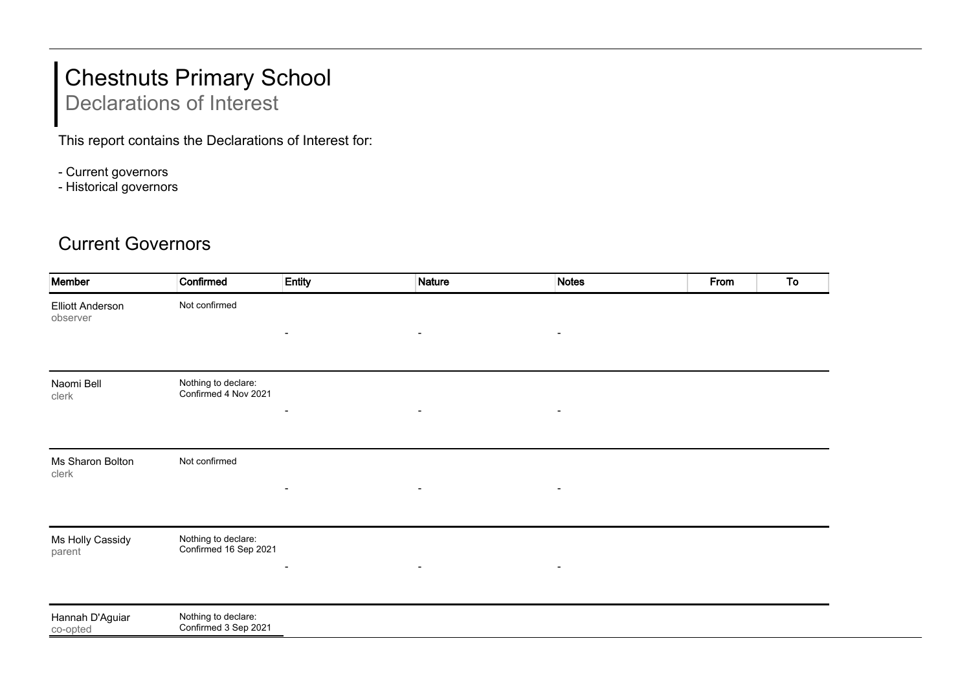## Chestnuts Primary School

Declarations of Interest

This report contains the Declarations of Interest for:

- Current governors
- Historical governors

## Current Governors

| Member                              | Confirmed                                    | Entity                   | <b>Nature</b>            | <b>Notes</b>   | From | To |
|-------------------------------------|----------------------------------------------|--------------------------|--------------------------|----------------|------|----|
| <b>Elliott Anderson</b><br>observer | Not confirmed                                |                          |                          |                |      |    |
|                                     |                                              | $\overline{\phantom{a}}$ | $\blacksquare$           | $\blacksquare$ |      |    |
| Naomi Bell<br>clerk                 | Nothing to declare:<br>Confirmed 4 Nov 2021  | $\overline{\phantom{a}}$ | $\overline{\phantom{a}}$ |                |      |    |
|                                     |                                              |                          |                          |                |      |    |
| Ms Sharon Bolton<br>clerk           | Not confirmed                                |                          |                          |                |      |    |
|                                     |                                              | $\blacksquare$           | $\blacksquare$           |                |      |    |
| Ms Holly Cassidy<br>parent          | Nothing to declare:<br>Confirmed 16 Sep 2021 |                          |                          |                |      |    |
|                                     |                                              |                          | $\blacksquare$           |                |      |    |
| Hannah D'Aguiar<br>co-opted         | Nothing to declare:<br>Confirmed 3 Sep 2021  |                          |                          |                |      |    |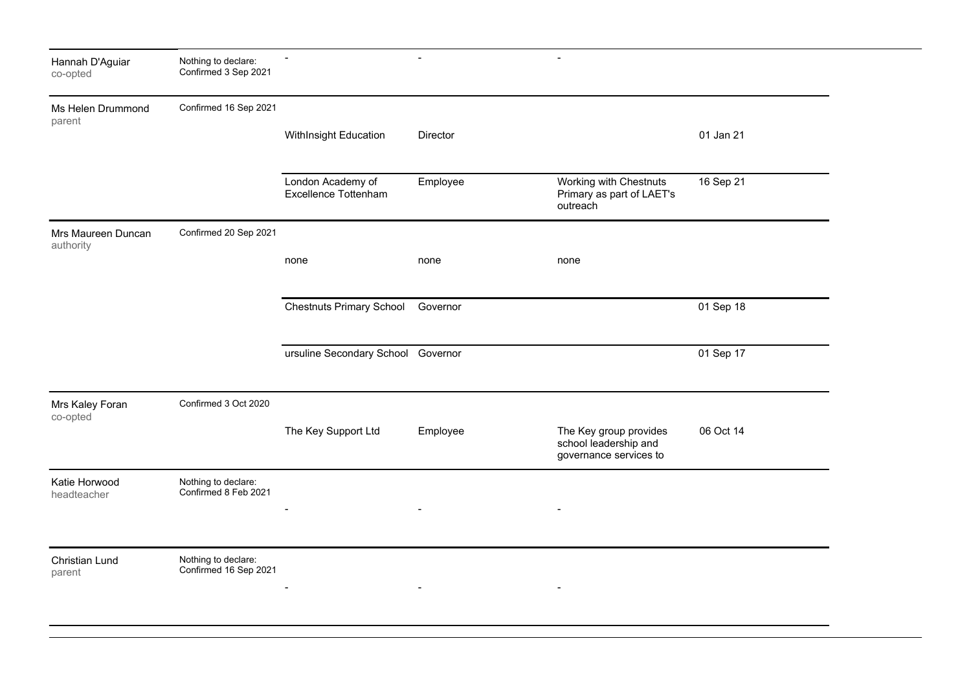| Hannah D'Aguiar<br>co-opted     | Nothing to declare:<br>Confirmed 3 Sep 2021  | $\blacksquare$                            | $\blacksquare$ | $\overline{\phantom{a}}$                                                  |           |  |
|---------------------------------|----------------------------------------------|-------------------------------------------|----------------|---------------------------------------------------------------------------|-----------|--|
| Ms Helen Drummond<br>parent     | Confirmed 16 Sep 2021                        | WithInsight Education                     | Director       |                                                                           | 01 Jan 21 |  |
|                                 |                                              |                                           |                |                                                                           |           |  |
|                                 |                                              | London Academy of<br>Excellence Tottenham | Employee       | Working with Chestnuts<br>Primary as part of LAET's<br>outreach           | 16 Sep 21 |  |
| Mrs Maureen Duncan<br>authority | Confirmed 20 Sep 2021                        |                                           |                |                                                                           |           |  |
|                                 |                                              | none                                      | none           | none                                                                      |           |  |
|                                 |                                              | <b>Chestnuts Primary School</b>           | Governor       |                                                                           | 01 Sep 18 |  |
|                                 |                                              | ursuline Secondary School Governor        |                |                                                                           | 01 Sep 17 |  |
| Mrs Kaley Foran<br>co-opted     | Confirmed 3 Oct 2020                         |                                           |                |                                                                           |           |  |
|                                 |                                              | The Key Support Ltd                       | Employee       | The Key group provides<br>school leadership and<br>governance services to | 06 Oct 14 |  |
| Katie Horwood<br>headteacher    | Nothing to declare:<br>Confirmed 8 Feb 2021  |                                           |                |                                                                           |           |  |
|                                 |                                              |                                           |                |                                                                           |           |  |
| Christian Lund<br>parent        | Nothing to declare:<br>Confirmed 16 Sep 2021 |                                           |                |                                                                           |           |  |
|                                 |                                              |                                           |                |                                                                           |           |  |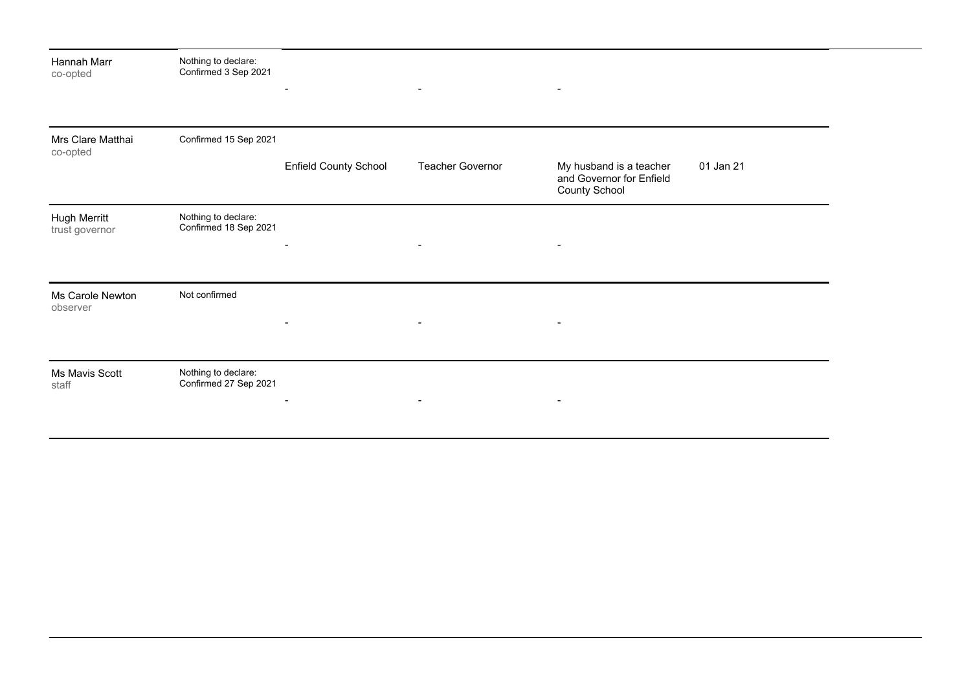| Hannah Marr<br>co-opted        | Nothing to declare:<br>Confirmed 3 Sep 2021  | $\overline{\phantom{a}}$     | $\blacksquare$   | $\blacksquare$                                                              |           |
|--------------------------------|----------------------------------------------|------------------------------|------------------|-----------------------------------------------------------------------------|-----------|
| Mrs Clare Matthai<br>co-opted  | Confirmed 15 Sep 2021                        | <b>Enfield County School</b> | Teacher Governor | My husband is a teacher<br>and Governor for Enfield<br><b>County School</b> | 01 Jan 21 |
| Hugh Merritt<br>trust governor | Nothing to declare:<br>Confirmed 18 Sep 2021 | $\overline{\phantom{a}}$     | $\blacksquare$   | $\overline{\phantom{a}}$                                                    |           |
| Ms Carole Newton<br>observer   | Not confirmed                                | $\blacksquare$               | $\blacksquare$   | $\overline{\phantom{a}}$                                                    |           |
| Ms Mavis Scott<br>staff        | Nothing to declare:<br>Confirmed 27 Sep 2021 | $\blacksquare$               | $\blacksquare$   | $\blacksquare$                                                              |           |